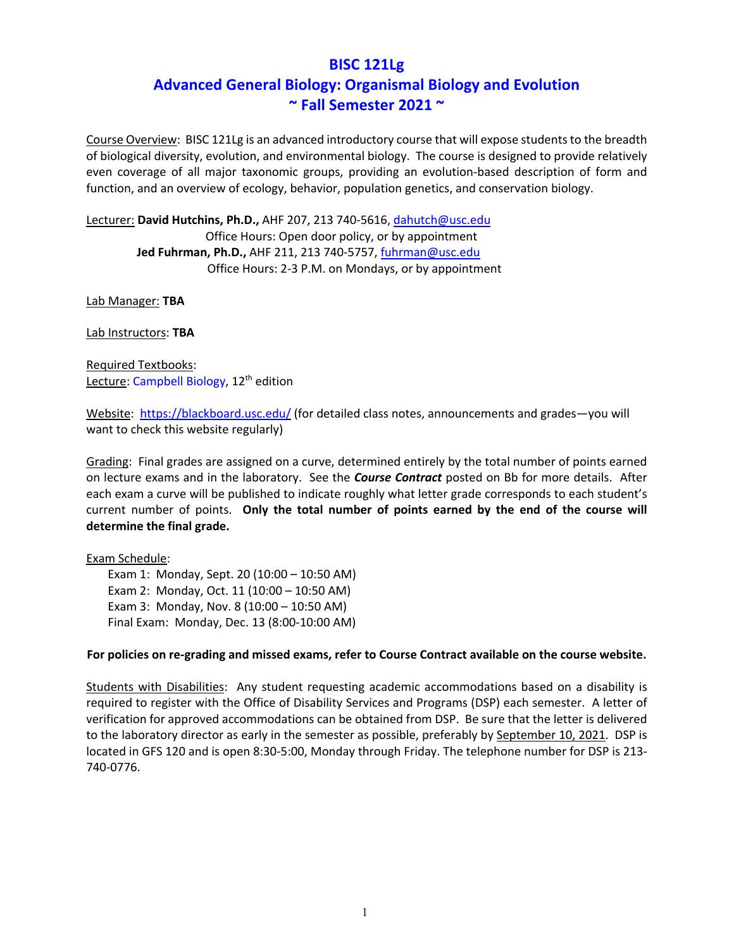# **BISC 121Lg Advanced General Biology: Organismal Biology and Evolution ~ Fall Semester 2021 ~**

Course Overview: BISC 121Lg is an advanced introductory course that will expose students to the breadth of biological diversity, evolution, and environmental biology. The course is designed to provide relatively even coverage of all major taxonomic groups, providing an evolution-based description of form and function, and an overview of ecology, behavior, population genetics, and conservation biology.

Lecturer: **David Hutchins, Ph.D.,** AHF 207, 213 740-5616, dahutch@usc.edu Office Hours: Open door policy, or by appointment **Jed Fuhrman, Ph.D.,** AHF 211, 213 740-5757, fuhrman@usc.edu Office Hours: 2-3 P.M. on Mondays, or by appointment

Lab Manager: **TBA**

Lab Instructors: **TBA**

Required Textbooks: Lecture: Campbell Biology, 12<sup>th</sup> edition

Website: https://blackboard.usc.edu/ (for detailed class notes, announcements and grades—you will want to check this website regularly)

Grading: Final grades are assigned on a curve, determined entirely by the total number of points earned on lecture exams and in the laboratory. See the *Course Contract* posted on Bb for more details. After each exam a curve will be published to indicate roughly what letter grade corresponds to each student's current number of points. **Only the total number of points earned by the end of the course will determine the final grade.**

Exam Schedule:

Exam 1: Monday, Sept. 20 (10:00 – 10:50 AM) Exam 2: Monday, Oct. 11 (10:00 – 10:50 AM) Exam 3: Monday, Nov. 8 (10:00 – 10:50 AM) Final Exam: Monday, Dec. 13 (8:00-10:00 AM)

### **For policies on re-grading and missed exams, refer to Course Contract available on the course website.**

Students with Disabilities: Any student requesting academic accommodations based on a disability is required to register with the Office of Disability Services and Programs (DSP) each semester. A letter of verification for approved accommodations can be obtained from DSP. Be sure that the letter is delivered to the laboratory director as early in the semester as possible, preferably by September 10, 2021. DSP is located in GFS 120 and is open 8:30-5:00, Monday through Friday. The telephone number for DSP is 213- 740-0776.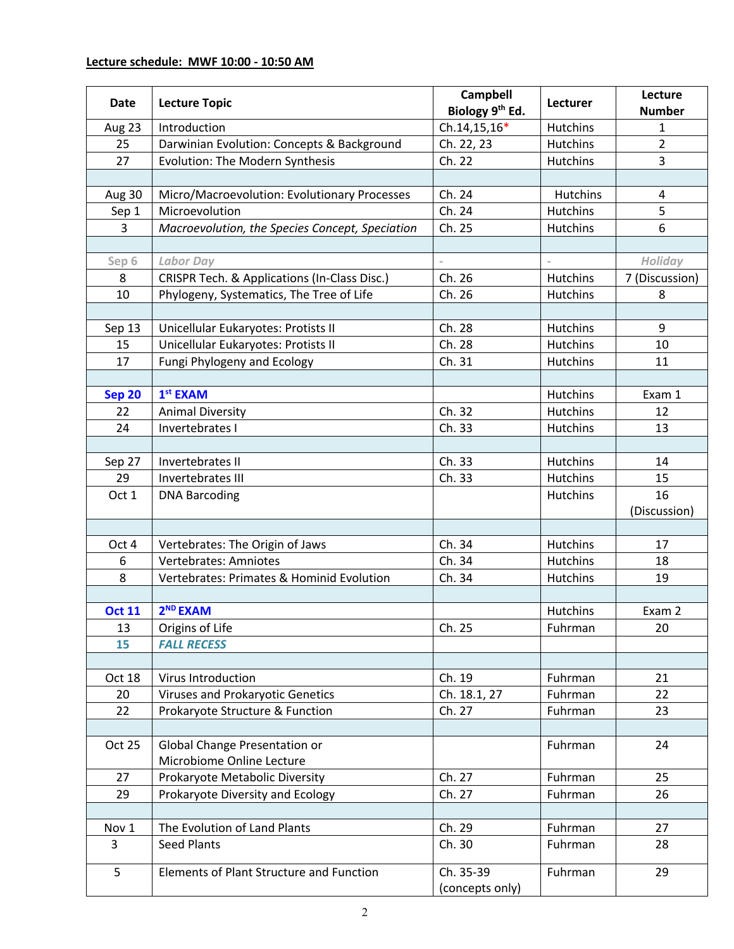## **Lecture schedule: MWF 10:00 - 10:50 AM**

| Date          | <b>Lecture Topic</b>                            | Campbell<br>Biology 9th Ed.  | Lecturer        | Lecture<br><b>Number</b> |
|---------------|-------------------------------------------------|------------------------------|-----------------|--------------------------|
| Aug 23        | Introduction                                    | Ch.14,15,16*                 | Hutchins        | 1                        |
| 25            | Darwinian Evolution: Concepts & Background      | Ch. 22, 23                   | Hutchins        | $\overline{2}$           |
| 27            | Evolution: The Modern Synthesis                 | Ch. 22                       | Hutchins        | $\overline{3}$           |
|               |                                                 |                              |                 |                          |
| Aug 30        | Micro/Macroevolution: Evolutionary Processes    | Ch. 24                       | Hutchins        | 4                        |
| Sep 1         | Microevolution                                  | Ch. 24                       | Hutchins        | 5                        |
| 3             | Macroevolution, the Species Concept, Speciation | Ch. 25                       | Hutchins        | 6                        |
|               |                                                 |                              |                 |                          |
| Sep 6         | <b>Labor Day</b>                                |                              |                 | Holiday                  |
| 8             | CRISPR Tech. & Applications (In-Class Disc.)    | Ch. 26                       | Hutchins        | 7 (Discussion)           |
| 10            | Phylogeny, Systematics, The Tree of Life        | Ch. 26                       | Hutchins        | 8                        |
|               |                                                 |                              |                 |                          |
| Sep 13        | Unicellular Eukaryotes: Protists II             | Ch. 28                       | Hutchins        | 9                        |
| 15            | Unicellular Eukaryotes: Protists II             | Ch. 28                       | Hutchins        | 10                       |
| 17            | Fungi Phylogeny and Ecology                     | Ch. 31                       | Hutchins        | 11                       |
|               |                                                 |                              |                 |                          |
| <b>Sep 20</b> | $1st$ EXAM                                      |                              | Hutchins        | Exam 1                   |
| 22            | <b>Animal Diversity</b>                         | Ch. 32                       | Hutchins        | 12                       |
| 24            | Invertebrates I                                 | Ch. 33                       | Hutchins        | 13                       |
|               |                                                 |                              |                 |                          |
| Sep 27        | Invertebrates II                                | Ch. 33                       | <b>Hutchins</b> | 14                       |
| 29            | Invertebrates III                               | Ch. 33                       | Hutchins        | 15                       |
| Oct 1         | <b>DNA Barcoding</b>                            |                              | Hutchins        | 16                       |
|               |                                                 |                              |                 | (Discussion)             |
|               |                                                 |                              |                 |                          |
| Oct 4         | Vertebrates: The Origin of Jaws                 | Ch. 34                       | Hutchins        | 17                       |
| 6             | <b>Vertebrates: Amniotes</b>                    | Ch. 34                       | <b>Hutchins</b> | 18                       |
| 8             | Vertebrates: Primates & Hominid Evolution       | Ch. 34                       | Hutchins        | 19                       |
| <b>Oct 11</b> | 2 <sup>ND</sup> EXAM                            |                              | Hutchins        | Exam 2                   |
| 13            | Origins of Life                                 | Ch. 25                       | Fuhrman         | 20                       |
| 15            | <b>FALL RECESS</b>                              |                              |                 |                          |
|               |                                                 |                              |                 |                          |
| Oct 18        | Virus Introduction                              | Ch. 19                       | Fuhrman         | 21                       |
| 20            | Viruses and Prokaryotic Genetics                | Ch. 18.1, 27                 | Fuhrman         | 22                       |
| 22            | Prokaryote Structure & Function                 | Ch. 27                       | Fuhrman         | 23                       |
|               |                                                 |                              |                 |                          |
| Oct 25        | Global Change Presentation or                   |                              | Fuhrman         | 24                       |
|               | Microbiome Online Lecture                       |                              |                 |                          |
| 27            | Prokaryote Metabolic Diversity                  | Ch. 27                       | Fuhrman         | 25                       |
| 29            | Prokaryote Diversity and Ecology                | Ch. 27                       | Fuhrman         | 26                       |
|               |                                                 |                              |                 |                          |
| Nov 1         | The Evolution of Land Plants                    | Ch. 29                       | Fuhrman         | 27                       |
| 3             | <b>Seed Plants</b>                              | Ch. 30                       | Fuhrman         | 28                       |
| 5             | Elements of Plant Structure and Function        | Ch. 35-39<br>(concepts only) | Fuhrman         | 29                       |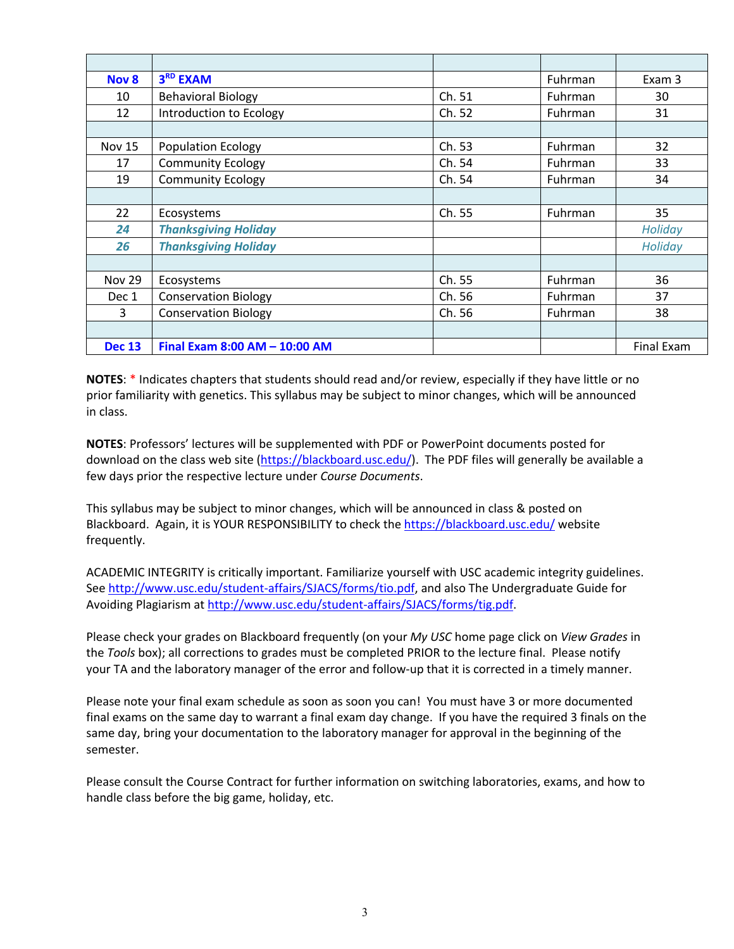| Nov 8         | 3 <sup>RD</sup> EXAM          |        | Fuhrman        | Exam 3            |
|---------------|-------------------------------|--------|----------------|-------------------|
| 10            | <b>Behavioral Biology</b>     | Ch. 51 | Fuhrman        | 30                |
| 12            | Introduction to Ecology       | Ch. 52 | Fuhrman        | 31                |
|               |                               |        |                |                   |
| <b>Nov 15</b> | <b>Population Ecology</b>     | Ch. 53 | Fuhrman        | 32                |
| 17            | <b>Community Ecology</b>      | Ch. 54 | Fuhrman        | 33                |
| 19            | <b>Community Ecology</b>      | Ch. 54 | Fuhrman        | 34                |
|               |                               |        |                |                   |
| 22            | Ecosystems                    | Ch. 55 | Fuhrman        | 35                |
| 24            | <b>Thanksgiving Holiday</b>   |        |                | Holiday           |
| 26            | <b>Thanksgiving Holiday</b>   |        |                | Holiday           |
|               |                               |        |                |                   |
| <b>Nov 29</b> | Ecosystems                    | Ch. 55 | Fuhrman        | 36                |
| Dec 1         | <b>Conservation Biology</b>   | Ch. 56 | Fuhrman        | 37                |
| 3             | <b>Conservation Biology</b>   | Ch. 56 | <b>Fuhrman</b> | 38                |
|               |                               |        |                |                   |
| <b>Dec 13</b> | Final Exam 8:00 AM - 10:00 AM |        |                | <b>Final Exam</b> |

**NOTES**: \* Indicates chapters that students should read and/or review, especially if they have little or no prior familiarity with genetics. This syllabus may be subject to minor changes, which will be announced in class.

**NOTES**: Professors' lectures will be supplemented with PDF or PowerPoint documents posted for download on the class web site (https://blackboard.usc.edu/). The PDF files will generally be available a few days prior the respective lecture under *Course Documents*.

This syllabus may be subject to minor changes, which will be announced in class & posted on Blackboard. Again, it is YOUR RESPONSIBILITY to check the https://blackboard.usc.edu/ website frequently.

ACADEMIC INTEGRITY is critically important. Familiarize yourself with USC academic integrity guidelines. See http://www.usc.edu/student-affairs/SJACS/forms/tio.pdf, and also The Undergraduate Guide for Avoiding Plagiarism at http://www.usc.edu/student-affairs/SJACS/forms/tig.pdf.

Please check your grades on Blackboard frequently (on your *My USC* home page click on *View Grades* in the *Tools* box); all corrections to grades must be completed PRIOR to the lecture final. Please notify your TA and the laboratory manager of the error and follow-up that it is corrected in a timely manner.

Please note your final exam schedule as soon as soon you can! You must have 3 or more documented final exams on the same day to warrant a final exam day change. If you have the required 3 finals on the same day, bring your documentation to the laboratory manager for approval in the beginning of the semester.

Please consult the Course Contract for further information on switching laboratories, exams, and how to handle class before the big game, holiday, etc.